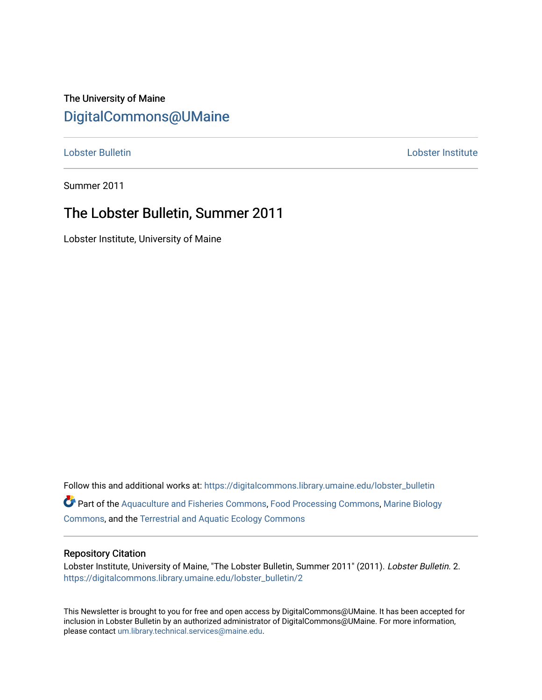## The University of Maine [DigitalCommons@UMaine](https://digitalcommons.library.umaine.edu/)

[Lobster Bulletin](https://digitalcommons.library.umaine.edu/lobster_bulletin) [Lobster Institute](https://digitalcommons.library.umaine.edu/lobster) 

Summer 2011

## The Lobster Bulletin, Summer 2011

Lobster Institute, University of Maine

Follow this and additional works at: [https://digitalcommons.library.umaine.edu/lobster\\_bulletin](https://digitalcommons.library.umaine.edu/lobster_bulletin?utm_source=digitalcommons.library.umaine.edu%2Flobster_bulletin%2F2&utm_medium=PDF&utm_campaign=PDFCoverPages) Part of the [Aquaculture and Fisheries Commons](http://network.bepress.com/hgg/discipline/78?utm_source=digitalcommons.library.umaine.edu%2Flobster_bulletin%2F2&utm_medium=PDF&utm_campaign=PDFCoverPages), [Food Processing Commons,](http://network.bepress.com/hgg/discipline/85?utm_source=digitalcommons.library.umaine.edu%2Flobster_bulletin%2F2&utm_medium=PDF&utm_campaign=PDFCoverPages) [Marine Biology](http://network.bepress.com/hgg/discipline/1126?utm_source=digitalcommons.library.umaine.edu%2Flobster_bulletin%2F2&utm_medium=PDF&utm_campaign=PDFCoverPages) [Commons](http://network.bepress.com/hgg/discipline/1126?utm_source=digitalcommons.library.umaine.edu%2Flobster_bulletin%2F2&utm_medium=PDF&utm_campaign=PDFCoverPages), and the [Terrestrial and Aquatic Ecology Commons](http://network.bepress.com/hgg/discipline/20?utm_source=digitalcommons.library.umaine.edu%2Flobster_bulletin%2F2&utm_medium=PDF&utm_campaign=PDFCoverPages) 

#### Repository Citation

Lobster Institute, University of Maine, "The Lobster Bulletin, Summer 2011" (2011). Lobster Bulletin. 2. [https://digitalcommons.library.umaine.edu/lobster\\_bulletin/2](https://digitalcommons.library.umaine.edu/lobster_bulletin/2?utm_source=digitalcommons.library.umaine.edu%2Flobster_bulletin%2F2&utm_medium=PDF&utm_campaign=PDFCoverPages)

This Newsletter is brought to you for free and open access by DigitalCommons@UMaine. It has been accepted for inclusion in Lobster Bulletin by an authorized administrator of DigitalCommons@UMaine. For more information, please contact [um.library.technical.services@maine.edu.](mailto:um.library.technical.services@maine.edu)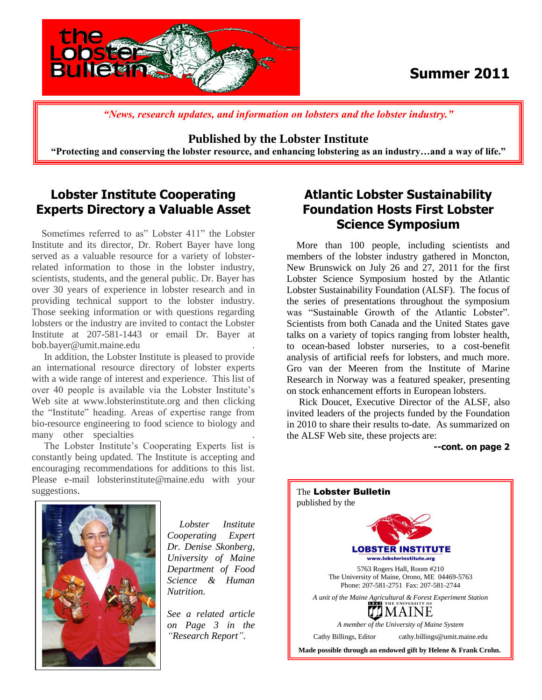

## **Summer 2011**

 *"News, research updates, and information on lobsters and the lobster industry."*

**Published by the Lobster Institute** 

**"Protecting and conserving the lobster resource, and enhancing lobstering as an industry…and a way of life."**

### **Lobster Institute Cooperating Experts Directory a Valuable Asset**

 Sometimes referred to as" Lobster 411" the Lobster Institute and its director, Dr. Robert Bayer have long served as a valuable resource for a variety of lobsterrelated information to those in the lobster industry, scientists, students, and the general public. Dr. Bayer has over 30 years of experience in lobster research and in providing technical support to the lobster industry. Those seeking information or with questions regarding lobsters or the industry are invited to contact the Lobster Institute at 207-581-1443 or email Dr. Bayer at bob.bayer@umit.maine.edu .

 In addition, the Lobster Institute is pleased to provide an international resource directory of lobster experts with a wide range of interest and experience. This list of over 40 people is available via the Lobster Institute's Web site at www.lobsterinstitute.org and then clicking the "Institute" heading. Areas of expertise range from bio-resource engineering to food science to biology and many other specialties

 The Lobster Institute's Cooperating Experts list is constantly being updated. The Institute is accepting and encouraging recommendations for additions to this list. Please e-mail lobsterinstitute@maine.edu with your suggestions.



 More than 100 people, including scientists and members of the lobster industry gathered in Moncton, New Brunswick on July 26 and 27, 2011 for the first Lobster Science Symposium hosted by the Atlantic Lobster Sustainability Foundation (ALSF). The focus of the series of presentations throughout the symposium was "Sustainable Growth of the Atlantic Lobster". Scientists from both Canada and the United States gave talks on a variety of topics ranging from lobster health, to ocean-based lobster nurseries, to a cost-benefit analysis of artificial reefs for lobsters, and much more. Gro van der Meeren from the Institute of Marine Research in Norway was a featured speaker, presenting on stock enhancement efforts in European lobsters.

 Rick Doucet, Executive Director of the ALSF, also invited leaders of the projects funded by the Foundation in 2010 to share their results to-date. As summarized on the ALSF Web site, these projects are:

**--cont. on page 2**



 *Lobster Institute Cooperating Expert Dr. Denise Skonberg, University of Maine Department of Food Science & Human Nutrition.*

*See a related article on Page 3 in the "Research Report".*

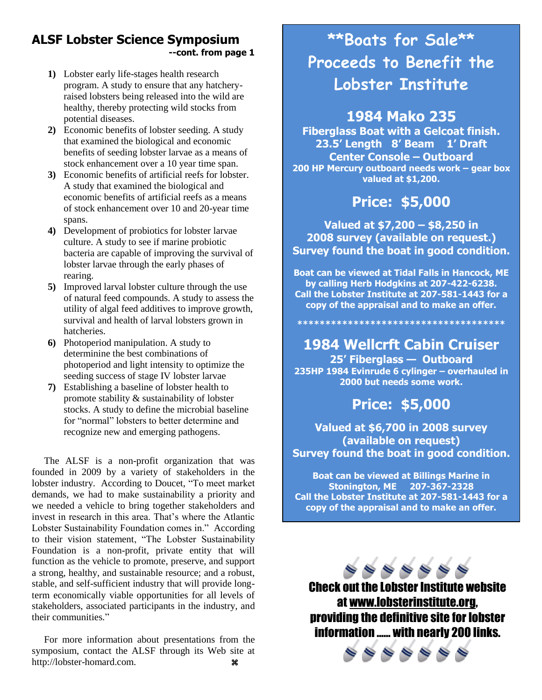#### **ALSF Lobster Science Symposium --cont. from page 1**

- **1)** Lobster early life-stages health research program. A study to ensure that any hatcheryraised lobsters being released into the wild are healthy, thereby protecting wild stocks from potential diseases.
- **2)** Economic benefits of lobster seeding. A study that examined the biological and economic benefits of seeding lobster larvae as a means of stock enhancement over a 10 year time span.
- **3)** Economic benefits of artificial reefs for lobster. A study that examined the biological and economic benefits of artificial reefs as a means of stock enhancement over 10 and 20-year time spans.
- **4)** Development of probiotics for lobster larvae culture. A study to see if marine probiotic bacteria are capable of improving the survival of lobster larvae through the early phases of rearing.
- **5)** Improved larval lobster culture through the use of natural feed compounds. A study to assess the utility of algal feed additives to improve growth, survival and health of larval lobsters grown in hatcheries.
- **6)** Photoperiod manipulation. A study to determinine the best combinations of photoperiod and light intensity to optimize the seeding success of stage IV lobster larvae
- **7)** Establishing a baseline of lobster health to promote stability & sustainability of lobster stocks. A study to define the microbial baseline for "normal" lobsters to better determine and recognize new and emerging pathogens.

 The ALSF is a non-profit organization that was founded in 2009 by a variety of stakeholders in the lobster industry. According to Doucet, "To meet market demands, we had to make sustainability a priority and we needed a vehicle to bring together stakeholders and invest in research in this area. That's where the Atlantic Lobster Sustainability Foundation comes in." According to their vision statement, "The Lobster Sustainability Foundation is a non-profit, private entity that will function as the vehicle to promote, preserve, and support a strong, healthy, and sustainable resource; and a robust, stable, and self-sufficient industry that will provide longterm economically viable opportunities for all levels of stakeholders, associated participants in the industry, and their communities."

 For more information about presentations from the symposium, contact the ALSF through its Web site at http://lobster-homard.com.

# **\*\*Boats for Sale\*\* Proceeds to Benefit the Lobster Institute**

## **1984 Mako 235**

 **200 HP Mercury outboard needs work – gear box Fiberglass Boat with a Gelcoat finish. 23.5' Length 8' Beam 1' Draft Center Console – Outboard valued at \$1,200.**

## **Price: \$5,000**

Т. **Survey found the boat in good condition. Valued at \$7,200 – \$8,250 in 2008 survey (available on request.)** 

 **Boat can be viewed at Tidal Falls in Hancock, ME by calling Herb Hodgkins at 207-422-6238. Call the Lobster Institute at 207-581-1443 for a copy of the appraisal and to make an offer.**

**\*\*\*\*\*\*\*\*\*\*\*\*\*\*\*\*\*\*\*\*\*\*\*\*\*\*\*\*\*\*\*\*\*\*\*\*\***

 **235HP 1984 Evinrude 6 cylinger – overhauled in 1984 Wellcrft Cabin Cruiser 25' Fiberglass — Outboard 2000 but needs some work.**

**Price: \$5,000**

 **Survey found the boat in good condition.** r. **Valued at \$6,700 in 2008 survey (available on request)**

**Boat can be viewed at Billings Marine in Stonington, ME 207-367-2328 Call the Lobster Institute at 207-581-1443 for a copy of the appraisal and to make an offer.**

 $\begin{array}{l} \circledast \circledast \circledast \circledast \circledast \end{array}$ Check out the Lobster Institute website at [www.lobsterinstitute.org,](http://www.lobsterinstitute.org/) providing the definitive site for lobster information …… with nearly 200 links.

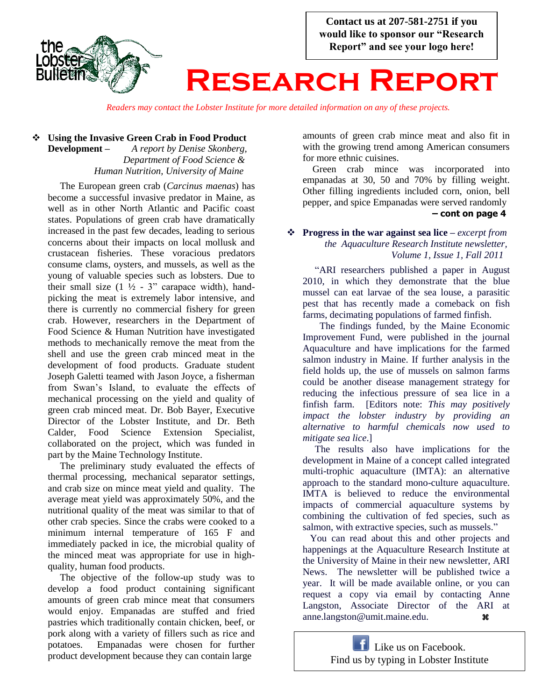

*Readers may contact the Lobster Institute for more detailed information on any of these projects.*

#### **Using the Invasive Green Crab in Food Product Development –** *A report by Denise Skonberg,*  *Department of Food Science & Human Nutrition, University of Maine*

 The European green crab (*Carcinus maenas*) has become a successful invasive predator in Maine, as well as in other North Atlantic and Pacific coast states. Populations of green crab have dramatically increased in the past few decades, leading to serious concerns about their impacts on local mollusk and crustacean fisheries. These voracious predators consume clams, oysters, and mussels, as well as the young of valuable species such as lobsters. Due to their small size  $(1 \frac{1}{2} - 3)$  carapace width), handpicking the meat is extremely labor intensive, and there is currently no commercial fishery for green crab. However, researchers in the Department of Food Science & Human Nutrition have investigated methods to mechanically remove the meat from the shell and use the green crab minced meat in the development of food products. Graduate student Joseph Galetti teamed with Jason Joyce, a fisherman from Swan's Island, to evaluate the effects of mechanical processing on the yield and quality of green crab minced meat. Dr. Bob Bayer, Executive Director of the Lobster Institute, and Dr. Beth Calder, Food Science Extension Specialist, collaborated on the project, which was funded in part by the Maine Technology Institute.

 The preliminary study evaluated the effects of thermal processing, mechanical separator settings, and crab size on mince meat yield and quality. The average meat yield was approximately 50%, and the nutritional quality of the meat was similar to that of other crab species. Since the crabs were cooked to a minimum internal temperature of 165 F and immediately packed in ice, the microbial quality of the minced meat was appropriate for use in highquality, human food products.

 The objective of the follow-up study was to develop a food product containing significant amounts of green crab mince meat that consumers would enjoy. Empanadas are stuffed and fried pastries which traditionally contain chicken, beef, or pork along with a variety of fillers such as rice and potatoes. Empanadas were chosen for further product development because they can contain large

amounts of green crab mince meat and also fit in with the growing trend among American consumers for more ethnic cuisines.

 Green crab mince was incorporated into empanadas at 30, 50 and 70% by filling weight. Other filling ingredients included corn, onion, bell pepper, and spice Empanadas were served randomly

#### **– cont on page 4**

#### **Progress in the war against sea lice –** *excerpt from the Aquaculture Research Institute newsletter, Volume 1, Issue 1, Fall 2011*

 "ARI researchers published a paper in August 2010, in which they demonstrate that the blue mussel can eat larvae of the sea louse, a parasitic pest that has recently made a comeback on fish farms, decimating populations of farmed finfish.

 The findings funded, by the Maine Economic Improvement Fund, were published in the journal Aquaculture and have implications for the farmed salmon industry in Maine. If further analysis in the field holds up, the use of mussels on salmon farms could be another disease management strategy for reducing the infectious pressure of sea lice in a finfish farm. [Editors note: *This may positively impact the lobster industry by providing an alternative to harmful chemicals now used to mitigate sea lice*.]

 The results also have implications for the development in Maine of a concept called integrated multi-trophic aquaculture (IMTA): an alternative approach to the standard mono-culture aquaculture. IMTA is believed to reduce the environmental impacts of commercial aquaculture systems by combining the cultivation of fed species, such as salmon, with extractive species, such as mussels."

 You can read about this and other projects and happenings at the Aquaculture Research Institute at the University of Maine in their new newsletter, ARI News. The newsletter will be published twice a year. It will be made available online, or you can request a copy via email by contacting Anne Langston, Associate Director of the ARI at anne.langston@umit.maine.edu.

> **Like us on Facebook.** Find us by typing in Lobster Institute